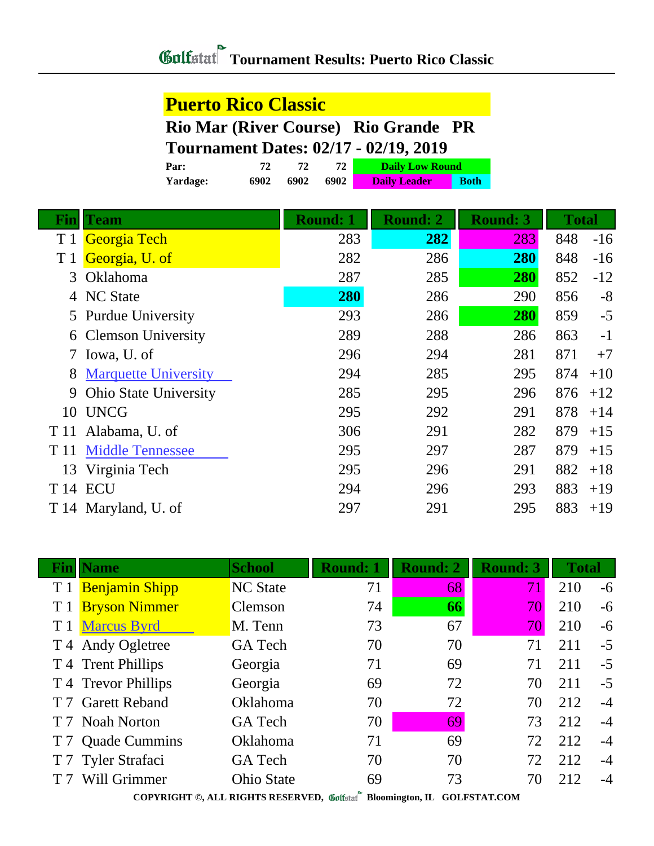### **Tournament Results: Puerto Rico Classic**

#### **Puerto Rico Classic**

**Rio Mar (River Course) Rio Grande PR**

#### **Tournament Dates: 02/17 - 02/19, 2019**

| Par:     |      |      |      | <b>Daily Low Round</b> |             |
|----------|------|------|------|------------------------|-------------|
| Yardage: | 6902 | 6902 | 6902 | <b>Daily Leader</b>    | <b>Both</b> |

| Finl           | <b>Team</b>                  | <b>Round: 1</b> | <b>Round: 2</b> | <b>Round: 3</b> | <b>Total</b> |
|----------------|------------------------------|-----------------|-----------------|-----------------|--------------|
| T <sub>1</sub> | Georgia Tech                 | 283             | 282             | 283             | 848<br>$-16$ |
| T 1            | Georgia, U. of               | 282             | 286             | <b>280</b>      | 848<br>$-16$ |
| 3              | Oklahoma                     | 287             | 285             | 280             | 852<br>$-12$ |
| 4              | <b>NC State</b>              | 280             | 286             | 290             | $-8$<br>856  |
|                | 5 Purdue University          | 293             | 286             | 280             | 859<br>$-5$  |
|                | 6 Clemson University         | 289             | 288             | 286             | 863<br>$-1$  |
|                | 7 Iowa, U. of                | 296             | 294             | 281             | 871<br>$+7$  |
| 8              | <b>Marquette University</b>  | 294             | 285             | 295             | 874<br>$+10$ |
| 9              | <b>Ohio State University</b> | 285             | 295             | 296             | 876<br>$+12$ |
| 10             | <b>UNCG</b>                  | 295             | 292             | 291             | 878<br>$+14$ |
| T 11           | Alabama, U. of               | 306             | 291             | 282             | 879<br>$+15$ |
| T 11           | <b>Middle Tennessee</b>      | 295             | 297             | 287             | 879<br>$+15$ |
| 13             | Virginia Tech                | 295             | 296             | 291             | 882<br>$+18$ |
|                | T <sub>14</sub> ECU          | 294             | 296             | 293             | 883<br>$+19$ |
|                | T 14 Maryland, U. of         | 297             | 291             | 295             | 883<br>$+19$ |

|                | <b>Fin</b>   Name                                                                                                                                                                                                                        | <b>School</b>     | <b>Round: 1</b> | <b>Round: 2</b> | <b>Round: 3</b> | <b>Total</b> |      |  |  |  |
|----------------|------------------------------------------------------------------------------------------------------------------------------------------------------------------------------------------------------------------------------------------|-------------------|-----------------|-----------------|-----------------|--------------|------|--|--|--|
| T1             | <b>Benjamin Shipp</b>                                                                                                                                                                                                                    | <b>NC State</b>   | 71              | 68              | 71              | 210          | -6   |  |  |  |
| T <sub>1</sub> | <b>Bryson Nimmer</b>                                                                                                                                                                                                                     | Clemson           | 74              | 66              | 70              | 210          | $-6$ |  |  |  |
|                | T 1 Marcus Byrd                                                                                                                                                                                                                          | M. Tenn           | 73              | 67              | 70              | 210          | $-6$ |  |  |  |
|                | T 4 Andy Ogletree                                                                                                                                                                                                                        | <b>GA</b> Tech    | 70              | 70              | 71              | 211          | $-5$ |  |  |  |
|                | T 4 Trent Phillips                                                                                                                                                                                                                       | Georgia           | 71              | 69              | 71              | 211          | $-5$ |  |  |  |
|                | T 4 Trevor Phillips                                                                                                                                                                                                                      | Georgia           | 69              | 72              | 70              | 211          | $-5$ |  |  |  |
|                | T 7 Garett Reband                                                                                                                                                                                                                        | Oklahoma          | 70              | 72              | 70              | 212          | $-4$ |  |  |  |
|                | T 7 Noah Norton                                                                                                                                                                                                                          | <b>GA</b> Tech    | 70              | 69              | 73              | 212          | $-4$ |  |  |  |
| T <sub>7</sub> | <b>Quade Cummins</b>                                                                                                                                                                                                                     | Oklahoma          | 71              | 69              | 72              | 212          | $-4$ |  |  |  |
| T <sub>7</sub> | <b>Tyler Strafaci</b>                                                                                                                                                                                                                    | <b>GA</b> Tech    | 70              | 70              | 72              | 212          | $-4$ |  |  |  |
|                | Will Grimmer                                                                                                                                                                                                                             | <b>Ohio State</b> | 69              | 73              | 70              | 212          | $-4$ |  |  |  |
|                | $\sim$<br>$0.001$ $0.01$ $0.000$ $0.000$ $0.000$ $0.000$ $0.000$ $0.000$ $0.000$ $0.000$ $0.000$ $0.000$ $0.000$ $0.000$ $0.000$ $0.000$ $0.000$ $0.000$ $0.000$ $0.000$ $0.000$ $0.000$ $0.000$ $0.000$ $0.000$ $0.000$ $0.000$ $0.000$ |                   |                 |                 |                 |              |      |  |  |  |

**COPYRIGHT ©, ALL RIGHTS RESERVED, Bloomington, IL GOLFSTAT.COM**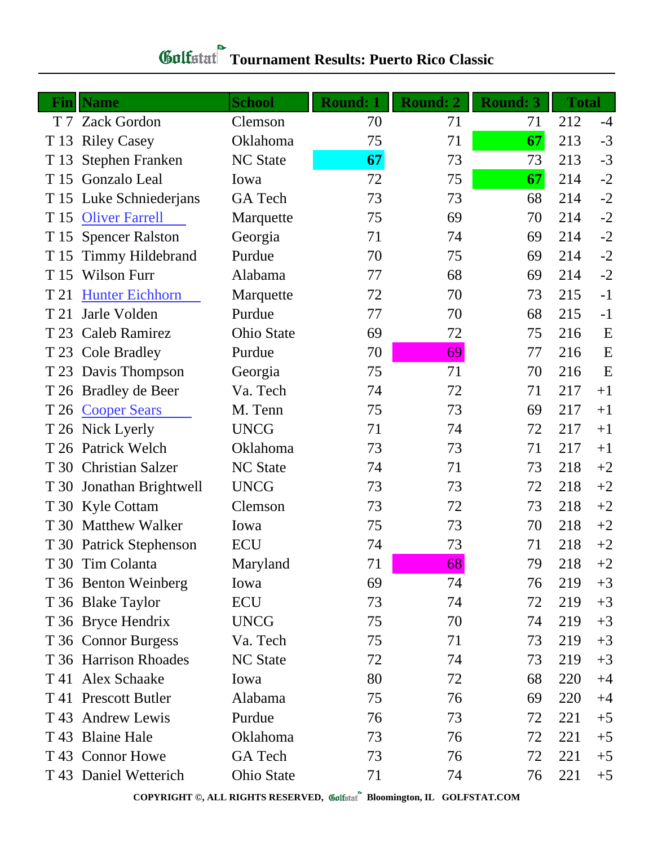| Fin            | <b>Name</b>              | <b>School</b>     | <b>Round: 1</b> | Round: 2 | <b>Round: 3</b> | <b>Total</b> |      |
|----------------|--------------------------|-------------------|-----------------|----------|-----------------|--------------|------|
| T <sub>7</sub> | <b>Zack Gordon</b>       | Clemson           | 70              | 71       | 71              | 212          | $-4$ |
| T 13           | <b>Riley Casey</b>       | Oklahoma          | 75              | 71       | 67              | 213          | $-3$ |
| T 13           | <b>Stephen Franken</b>   | <b>NC State</b>   | 67              | 73       | 73              | 213          | $-3$ |
| T 15           | Gonzalo Leal             | Iowa              | 72              | 75       | 67              | 214          | $-2$ |
| T 15           | Luke Schniederjans       | <b>GA</b> Tech    | 73              | 73       | 68              | 214          | $-2$ |
| T 15           | <b>Oliver Farrell</b>    | Marquette         | 75              | 69       | 70              | 214          | $-2$ |
| T 15           | <b>Spencer Ralston</b>   | Georgia           | 71              | 74       | 69              | 214          | $-2$ |
| T 15           | <b>Timmy Hildebrand</b>  | Purdue            | 70              | 75       | 69              | 214          | $-2$ |
| T 15           | Wilson Furr              | Alabama           | 77              | 68       | 69              | 214          | $-2$ |
| T 21           | <b>Hunter Eichhorn</b>   | Marquette         | 72              | 70       | 73              | 215          | $-1$ |
| T 21           | Jarle Volden             | Purdue            | 77              | 70       | 68              | 215          | $-1$ |
| T 23           | <b>Caleb Ramirez</b>     | <b>Ohio State</b> | 69              | 72       | 75              | 216          | E    |
| T 23           | <b>Cole Bradley</b>      | Purdue            | 70              | 69       | 77              | 216          | E    |
|                | T 23 Davis Thompson      | Georgia           | 75              | 71       | 70              | 216          | E    |
|                | T 26 Bradley de Beer     | Va. Tech          | 74              | 72       | 71              | 217          | $+1$ |
|                | T 26 Cooper Sears        | M. Tenn           | 75              | 73       | 69              | 217          | $+1$ |
|                | T 26 Nick Lyerly         | <b>UNCG</b>       | 71              | 74       | 72              | 217          | $+1$ |
|                | T 26 Patrick Welch       | Oklahoma          | 73              | 73       | 71              | 217          | $+1$ |
|                | T 30 Christian Salzer    | <b>NC</b> State   | 74              | 71       | 73              | 218          | $+2$ |
|                | T 30 Jonathan Brightwell | <b>UNCG</b>       | 73              | 73       | 72              | 218          | $+2$ |
|                | T 30 Kyle Cottam         | Clemson           | 73              | 72       | 73              | 218          | $+2$ |
|                | T 30 Matthew Walker      | Iowa              | 75              | 73       | 70              | 218          | $+2$ |
|                | T 30 Patrick Stephenson  | <b>ECU</b>        | 74              | 73       | 71              | 218          | $+2$ |
|                | T 30 Tim Colanta         | Maryland          | 71              | 68       | 79              | 218          | $+2$ |
|                | T 36 Benton Weinberg     | Iowa              | 69              | 74       | 76              | 219          | $+3$ |
|                | T 36 Blake Taylor        | ECU               | 73              | 74       | 72              | 219          | $+3$ |
|                | T 36 Bryce Hendrix       | <b>UNCG</b>       | 75              | 70       | 74              | 219          | $+3$ |
|                | T 36 Connor Burgess      | Va. Tech          | 75              | 71       | 73              | 219          | $+3$ |
|                | T 36 Harrison Rhoades    | <b>NC State</b>   | 72              | 74       | 73              | 219          | $+3$ |
|                | T 41 Alex Schaake        | Iowa              | 80              | 72       | 68              | 220          | $+4$ |
|                | T 41 Prescott Butler     | Alabama           | 75              | 76       | 69              | 220          | $+4$ |
| T 43           | <b>Andrew Lewis</b>      | Purdue            | 76              | 73       | 72              | 221          | $+5$ |
| T 43           | <b>Blaine Hale</b>       | Oklahoma          | 73              | 76       | 72              | 221          | $+5$ |
|                | T 43 Connor Howe         | GA Tech           | 73              | 76       | 72              | 221          | $+5$ |
|                | T 43 Daniel Wetterich    | Ohio State        | 71              | 74       | 76              | 221          | $+5$ |

# **Tournament Results: Puerto Rico Classic**

**COPYRIGHT ©, ALL RIGHTS RESERVED, Bloomington, IL GOLFSTAT.COM**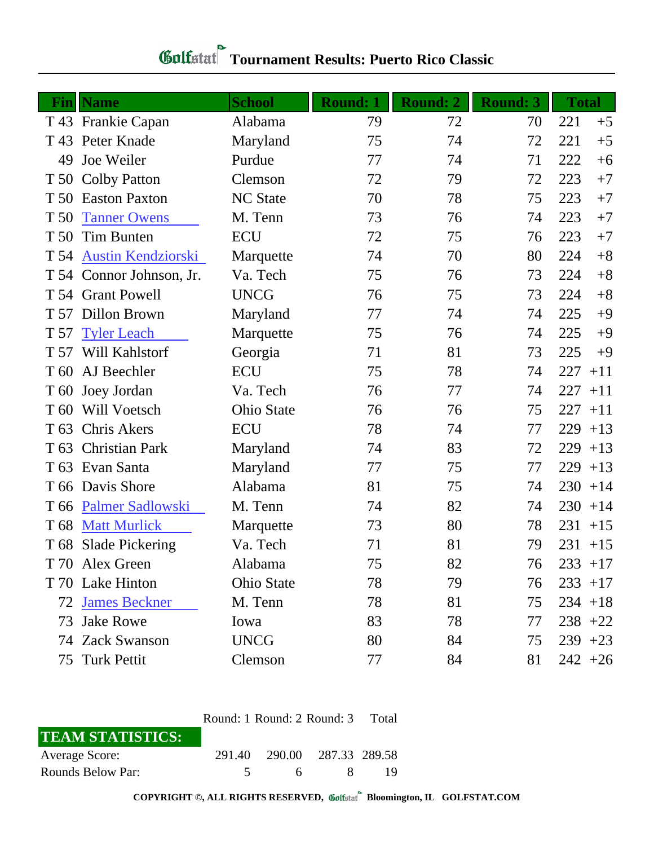| Fin             | <b>Name</b>                               | <b>School</b>     | <b>Round: 1</b> | <b>Round: 2</b> | <b>Round: 3</b> | <b>Total</b> |
|-----------------|-------------------------------------------|-------------------|-----------------|-----------------|-----------------|--------------|
|                 | T 43 Frankie Capan                        | Alabama           | 79              | 72              | 70              | 221<br>$+5$  |
| T 43            | Peter Knade                               | Maryland          | 75              | 74              | 72              | 221<br>$+5$  |
| 49              | Joe Weiler                                | Purdue            | 77              | 74              | 71              | 222<br>$+6$  |
|                 |                                           | Clemson           | 72              | 79              | 72              | 223<br>$+7$  |
| T 50            | T 50 Colby Patton<br><b>Easton Paxton</b> | <b>NC State</b>   | 70              | 78              | 75              | 223<br>$+7$  |
| T 50            |                                           |                   |                 | 76              |                 | $+7$         |
|                 | <b>Tanner Owens</b>                       | M. Tenn           | 73              |                 | 74              | 223          |
| T 50            | Tim Bunten                                | <b>ECU</b>        | 72              | 75              | 76              | 223<br>$+7$  |
| T 54            | <b>Austin Kendziorski</b>                 | Marquette         | 74              | 70              | 80              | $+8$<br>224  |
|                 | T 54 Connor Johnson, Jr.                  | Va. Tech          | 75              | 76              | 73              | $+8$<br>224  |
|                 | T 54 Grant Powell                         | <b>UNCG</b>       | 76              | 75              | 73              | $+8$<br>224  |
| T 57            | Dillon Brown                              | Maryland          | 77              | 74              | 74              | 225<br>$+9$  |
| T 57            | <b>Tyler Leach</b>                        | Marquette         | 75              | 76              | 74              | 225<br>$+9$  |
| T 57            | Will Kahlstorf                            | Georgia           | 71              | 81              | 73              | 225<br>$+9$  |
| T <sub>60</sub> | AJ Beechler                               | <b>ECU</b>        | 75              | 78              | 74              | 227<br>$+11$ |
| T 60            | Joey Jordan                               | Va. Tech          | 76              | 77              | 74              | 227<br>$+11$ |
| T <sub>60</sub> | Will Voetsch                              | <b>Ohio State</b> | 76              | 76              | 75              | 227<br>$+11$ |
| T <sub>63</sub> | Chris Akers                               | <b>ECU</b>        | 78              | 74              | 77              | 229<br>$+13$ |
|                 | T 63 Christian Park                       | Maryland          | 74              | 83              | 72              | 229<br>$+13$ |
| T 63            | Evan Santa                                | Maryland          | 77              | 75              | 77              | 229<br>$+13$ |
| T 66            | Davis Shore                               | Alabama           | 81              | 75              | 74              | 230<br>$+14$ |
| T 66            | Palmer Sadlowski                          | M. Tenn           | 74              | 82              | 74              | 230<br>$+14$ |
| T <sub>68</sub> | <b>Matt Murlick</b>                       | Marquette         | 73              | 80              | 78              | 231<br>$+15$ |
|                 | T 68 Slade Pickering                      | Va. Tech          | 71              | 81              | 79              | 231<br>$+15$ |
|                 | T 70 Alex Green                           | Alabama           | 75              | 82              | 76              | $233 + 17$   |
|                 | T 70 Lake Hinton                          | <b>Ohio State</b> | 78              | 79              | 76              | $233 + 17$   |
|                 | <b>72 James Beckner</b>                   | M. Tenn           | 78              | 81              | 75              | $234 + 18$   |
| 73              | <b>Jake Rowe</b>                          | Iowa              | 83              | 78              | 77              | $238 +22$    |
|                 | 74 Zack Swanson                           | <b>UNCG</b>       | 80              | 84              | 75              | $239 + 23$   |
|                 | 75 Turk Pettit                            | Clemson           | 77              | 84              | 81              | $242 + 26$   |

## **Tournament Results: Puerto Rico Classic**

| Round: 1 Round: 2 Round: 3 Total |        |                             |    |  |  |  |
|----------------------------------|--------|-----------------------------|----|--|--|--|
| <b>TEAM STATISTICS:</b>          |        |                             |    |  |  |  |
| Average Score:                   |        | 291.40 290.00 287.33 289.58 |    |  |  |  |
| Rounds Below Par:                | $\sim$ | 6                           | -X |  |  |  |

**COPYRIGHT ©, ALL RIGHTS RESERVED, Bloomington, IL GOLFSTAT.COM**